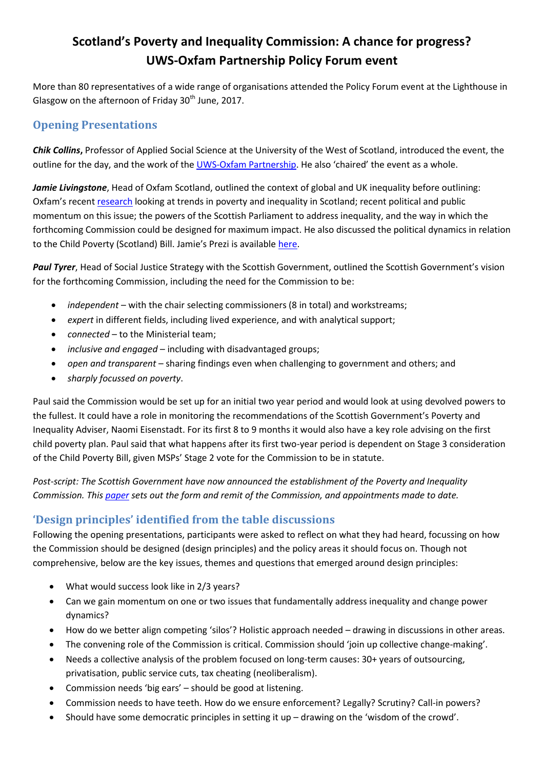# **Scotland's Poverty and Inequality Commission: A chance for progress? UWS-Oxfam Partnership Policy Forum event**

More than 80 representatives of a wide range of organisations attended the Policy Forum event at the Lighthouse in Glasgow on the afternoon of Friday  $30<sup>th</sup>$  June, 2017.

## **Opening Presentations**

*Chik Collins***,** Professor of Applied Social Science at the University of the West of Scotland, introduced the event, the outline for the day, and the work of the [UWS-Oxfam Partnership.](http://uwsoxfampartnership.org.uk/policy-forum/) He also 'chaired' the event as a whole.

*Jamie Livingstone*, Head of Oxfam Scotland, outlined the context of global and UK inequality before outlining: Oxfam's recent [research](http://policy-practice.oxfam.org.uk/publications/building-a-more-equal-scotland-designing-scotlands-poverty-and-inequality-commi-620264) looking at trends in poverty and inequality in Scotland; recent political and public momentum on this issue; the powers of the Scottish Parliament to address inequality, and the way in which the forthcoming Commission could be designed for maximum impact. He also discussed the political dynamics in relation to the Child Poverty (Scotland) Bill. Jamie's Prezi is available [here.](http://prezi.com/u73cy6hymuuz/?utm_campaign=share&utm_medium=copy)

*Paul Tyrer*, Head of Social Justice Strategy with the Scottish Government, outlined the Scottish Government's vision for the forthcoming Commission, including the need for the Commission to be:

- *independent* with the chair selecting commissioners (8 in total) and workstreams;
- *expert* in different fields, including lived experience, and with analytical support;
- *connected* to the Ministerial team;
- *inclusive and engaged* including with disadvantaged groups;
- *open and transparent* sharing findings even when challenging to government and others; and
- *sharply focussed on poverty*.

Paul said the Commission would be set up for an initial two year period and would look at using devolved powers to the fullest. It could have a role in monitoring the recommendations of the Scottish Government's Poverty and Inequality Adviser, Naomi Eisenstadt. For its first 8 to 9 months it would also have a key role advising on the first child poverty plan. Paul said that what happens after its first two-year period is dependent on Stage 3 consideration of the Child Poverty Bill, given MSPs' Stage 2 vote for the Commission to be in statute.

*Post-script: The Scottish Government have now announced the establishment of the Poverty and Inequality Commission. This [paper](http://www.gov.scot/Publications/2017/07/1335) sets out the form and remit of the Commission, and appointments made to date.*

### **'Design principles' identified from the table discussions**

Following the opening presentations, participants were asked to reflect on what they had heard, focussing on how the Commission should be designed (design principles) and the policy areas it should focus on. Though not comprehensive, below are the key issues, themes and questions that emerged around design principles:

- What would success look like in 2/3 years?
- Can we gain momentum on one or two issues that fundamentally address inequality and change power dynamics?
- How do we better align competing 'silos'? Holistic approach needed drawing in discussions in other areas.
- The convening role of the Commission is critical. Commission should 'join up collective change-making'.
- Needs a collective analysis of the problem focused on long-term causes: 30+ years of outsourcing, privatisation, public service cuts, tax cheating (neoliberalism).
- Commission needs 'big ears' should be good at listening.
- Commission needs to have teeth. How do we ensure enforcement? Legally? Scrutiny? Call-in powers?
- Should have some democratic principles in setting it up drawing on the 'wisdom of the crowd'.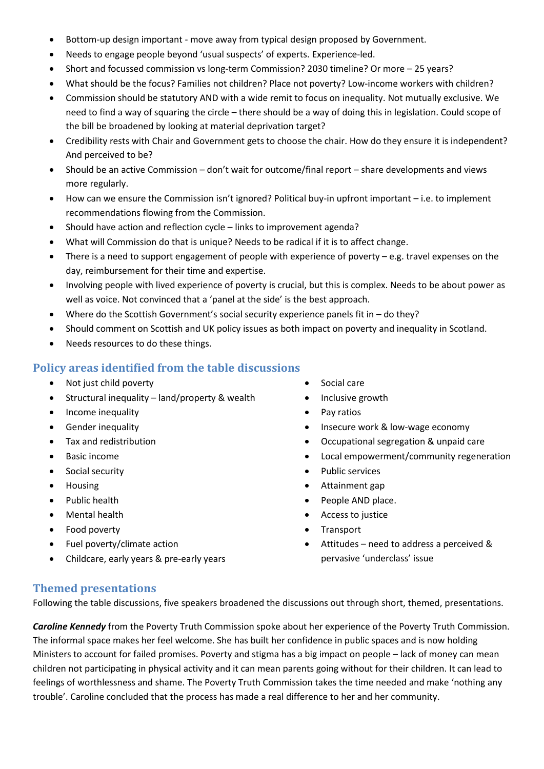- Bottom-up design important move away from typical design proposed by Government.
- Needs to engage people beyond 'usual suspects' of experts. Experience-led.
- Short and focussed commission vs long-term Commission? 2030 timeline? Or more 25 years?
- What should be the focus? Families not children? Place not poverty? Low-income workers with children?
- Commission should be statutory AND with a wide remit to focus on inequality. Not mutually exclusive. We need to find a way of squaring the circle – there should be a way of doing this in legislation. Could scope of the bill be broadened by looking at material deprivation target?
- Credibility rests with Chair and Government gets to choose the chair. How do they ensure it is independent? And perceived to be?
- Should be an active Commission don't wait for outcome/final report share developments and views more regularly.
- How can we ensure the Commission isn't ignored? Political buy-in upfront important i.e. to implement recommendations flowing from the Commission.
- Should have action and reflection cycle links to improvement agenda?
- What will Commission do that is unique? Needs to be radical if it is to affect change.
- There is a need to support engagement of people with experience of poverty e.g. travel expenses on the day, reimbursement for their time and expertise.
- Involving people with lived experience of poverty is crucial, but this is complex. Needs to be about power as well as voice. Not convinced that a 'panel at the side' is the best approach.
- Where do the Scottish Government's social security experience panels fit in do they?
- Should comment on Scottish and UK policy issues as both impact on poverty and inequality in Scotland.
- Needs resources to do these things.

#### **Policy areas identified from the table discussions**

- Not just child poverty
- Structural inequality land/property & wealth
- Income inequality
- Gender inequality
- Tax and redistribution
- Basic income
- Social security
- Housing
- Public health
- Mental health
- Food poverty
- Fuel poverty/climate action
- Childcare, early years & pre-early years
- Social care
- Inclusive growth
- Pay ratios
- Insecure work & low-wage economy
- Occupational segregation & unpaid care
- Local empowerment/community regeneration
- Public services
- Attainment gap
- People AND place.
- Access to justice
- Transport
- Attitudes need to address a perceived & pervasive 'underclass' issue

#### **Themed presentations**

Following the table discussions, five speakers broadened the discussions out through short, themed, presentations.

*Caroline Kennedy* from the Poverty Truth Commission spoke about her experience of the Poverty Truth Commission. The informal space makes her feel welcome. She has built her confidence in public spaces and is now holding Ministers to account for failed promises. Poverty and stigma has a big impact on people – lack of money can mean children not participating in physical activity and it can mean parents going without for their children. It can lead to feelings of worthlessness and shame. The Poverty Truth Commission takes the time needed and make 'nothing any trouble'. Caroline concluded that the process has made a real difference to her and her community.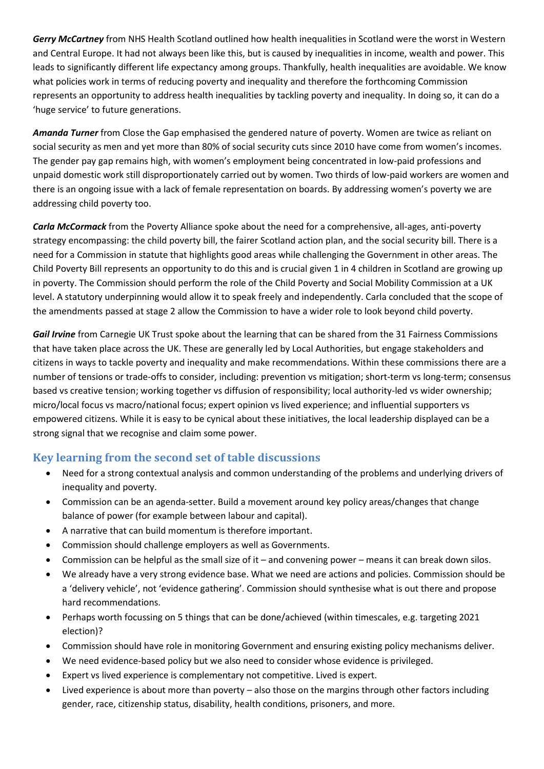*Gerry McCartney* from NHS Health Scotland outlined how health inequalities in Scotland were the worst in Western and Central Europe. It had not always been like this, but is caused by inequalities in income, wealth and power. This leads to significantly different life expectancy among groups. Thankfully, health inequalities are avoidable. We know what policies work in terms of reducing poverty and inequality and therefore the forthcoming Commission represents an opportunity to address health inequalities by tackling poverty and inequality. In doing so, it can do a 'huge service' to future generations.

*Amanda Turner* from Close the Gap emphasised the gendered nature of poverty. Women are twice as reliant on social security as men and yet more than 80% of social security cuts since 2010 have come from women's incomes. The gender pay gap remains high, with women's employment being concentrated in low-paid professions and unpaid domestic work still disproportionately carried out by women. Two thirds of low-paid workers are women and there is an ongoing issue with a lack of female representation on boards. By addressing women's poverty we are addressing child poverty too.

*Carla McCormack* from the Poverty Alliance spoke about the need for a comprehensive, all-ages, anti-poverty strategy encompassing: the child poverty bill, the fairer Scotland action plan, and the social security bill. There is a need for a Commission in statute that highlights good areas while challenging the Government in other areas. The Child Poverty Bill represents an opportunity to do this and is crucial given 1 in 4 children in Scotland are growing up in poverty. The Commission should perform the role of the Child Poverty and Social Mobility Commission at a UK level. A statutory underpinning would allow it to speak freely and independently. Carla concluded that the scope of the amendments passed at stage 2 allow the Commission to have a wider role to look beyond child poverty.

*Gail Irvine* from Carnegie UK Trust spoke about the learning that can be shared from the 31 Fairness Commissions that have taken place across the UK. These are generally led by Local Authorities, but engage stakeholders and citizens in ways to tackle poverty and inequality and make recommendations. Within these commissions there are a number of tensions or trade-offs to consider, including: prevention vs mitigation; short-term vs long-term; consensus based vs creative tension; working together vs diffusion of responsibility; local authority-led vs wider ownership; micro/local focus vs macro/national focus; expert opinion vs lived experience; and influential supporters vs empowered citizens. While it is easy to be cynical about these initiatives, the local leadership displayed can be a strong signal that we recognise and claim some power.

# **Key learning from the second set of table discussions**

- Need for a strong contextual analysis and common understanding of the problems and underlying drivers of inequality and poverty.
- Commission can be an agenda-setter. Build a movement around key policy areas/changes that change balance of power (for example between labour and capital).
- A narrative that can build momentum is therefore important.
- Commission should challenge employers as well as Governments.
- Commission can be helpful as the small size of it and convening power means it can break down silos.
- We already have a very strong evidence base. What we need are actions and policies. Commission should be a 'delivery vehicle', not 'evidence gathering'. Commission should synthesise what is out there and propose hard recommendations.
- Perhaps worth focussing on 5 things that can be done/achieved (within timescales, e.g. targeting 2021 election)?
- Commission should have role in monitoring Government and ensuring existing policy mechanisms deliver.
- We need evidence-based policy but we also need to consider whose evidence is privileged.
- Expert vs lived experience is complementary not competitive. Lived is expert.
- Lived experience is about more than poverty also those on the margins through other factors including gender, race, citizenship status, disability, health conditions, prisoners, and more.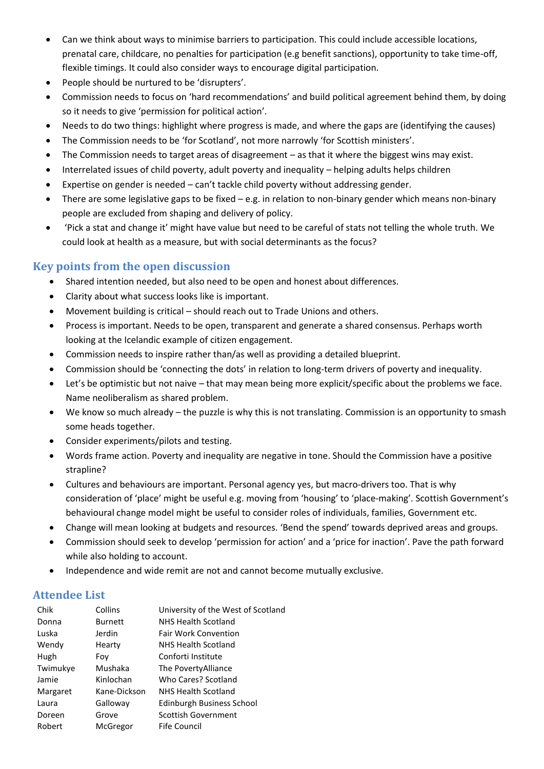- Can we think about ways to minimise barriers to participation. This could include accessible locations, prenatal care, childcare, no penalties for participation (e.g benefit sanctions), opportunity to take time-off, flexible timings. It could also consider ways to encourage digital participation.
- People should be nurtured to be 'disrupters'.
- Commission needs to focus on 'hard recommendations' and build political agreement behind them, by doing so it needs to give 'permission for political action'.
- Needs to do two things: highlight where progress is made, and where the gaps are (identifying the causes)
- The Commission needs to be 'for Scotland', not more narrowly 'for Scottish ministers'.
- The Commission needs to target areas of disagreement as that it where the biggest wins may exist.
- Interrelated issues of child poverty, adult poverty and inequality helping adults helps children
- Expertise on gender is needed can't tackle child poverty without addressing gender.
- There are some legislative gaps to be fixed e.g. in relation to non-binary gender which means non-binary people are excluded from shaping and delivery of policy.
- 'Pick a stat and change it' might have value but need to be careful of stats not telling the whole truth. We could look at health as a measure, but with social determinants as the focus?

#### **Key points from the open discussion**

- Shared intention needed, but also need to be open and honest about differences.
- Clarity about what success looks like is important.
- Movement building is critical should reach out to Trade Unions and others.
- Process is important. Needs to be open, transparent and generate a shared consensus. Perhaps worth looking at the Icelandic example of citizen engagement.
- Commission needs to inspire rather than/as well as providing a detailed blueprint.
- Commission should be 'connecting the dots' in relation to long-term drivers of poverty and inequality.
- Let's be optimistic but not naive that may mean being more explicit/specific about the problems we face. Name neoliberalism as shared problem.
- We know so much already the puzzle is why this is not translating. Commission is an opportunity to smash some heads together.
- Consider experiments/pilots and testing.
- Words frame action. Poverty and inequality are negative in tone. Should the Commission have a positive strapline?
- Cultures and behaviours are important. Personal agency yes, but macro-drivers too. That is why consideration of 'place' might be useful e.g. moving from 'housing' to 'place-making'. Scottish Government's behavioural change model might be useful to consider roles of individuals, families, Government etc.
- Change will mean looking at budgets and resources. 'Bend the spend' towards deprived areas and groups.
- Commission should seek to develop 'permission for action' and a 'price for inaction'. Pave the path forward while also holding to account.
- Independence and wide remit are not and cannot become mutually exclusive.

#### **Attendee List**

| Chik     | Collins        | University of the West of Scotland |
|----------|----------------|------------------------------------|
| Donna    | <b>Burnett</b> | NHS Health Scotland                |
| Luska    | Jerdin         | <b>Fair Work Convention</b>        |
| Wendy    | Hearty         | NHS Health Scotland                |
| Hugh     | Fov            | Conforti Institute                 |
| Twimukye | Mushaka        | The Poverty Alliance               |
| Jamie    | Kinlochan      | Who Cares? Scotland                |
| Margaret | Kane-Dickson   | NHS Health Scotland                |
| Laura    | Galloway       | Edinburgh Business School          |
| Doreen   | Grove          | Scottish Government                |
| Robert   | McGregor       | Fife Council                       |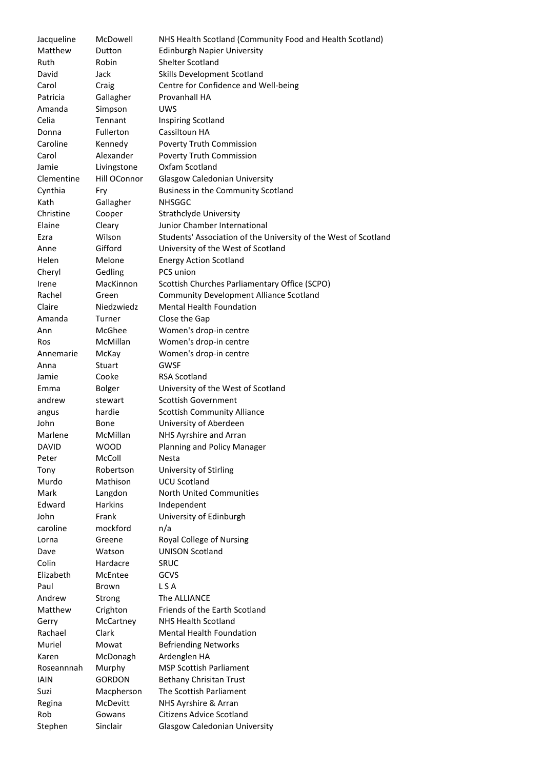| Jacqueline   | McDowell       | NHS Health Scotland (Community Food and Health Scotland)        |
|--------------|----------------|-----------------------------------------------------------------|
| Matthew      | Dutton         | <b>Edinburgh Napier University</b>                              |
| Ruth         | Robin          | <b>Shelter Scotland</b>                                         |
|              |                |                                                                 |
| David        | Jack           | Skills Development Scotland                                     |
| Carol        | Craig          | Centre for Confidence and Well-being                            |
| Patricia     | Gallagher      | Provanhall HA                                                   |
| Amanda       | Simpson        | <b>UWS</b>                                                      |
| Celia        | Tennant        | <b>Inspiring Scotland</b>                                       |
| Donna        | Fullerton      | Cassiltoun HA                                                   |
| Caroline     | Kennedy        | Poverty Truth Commission                                        |
| Carol        | Alexander      | Poverty Truth Commission                                        |
| Jamie        | Livingstone    | Oxfam Scotland                                                  |
| Clementine   | Hill OConnor   | <b>Glasgow Caledonian University</b>                            |
| Cynthia      | Fry            | Business in the Community Scotland                              |
| Kath         | Gallagher      | <b>NHSGGC</b>                                                   |
| Christine    | Cooper         | Strathclyde University                                          |
| Elaine       | Cleary         | Junior Chamber International                                    |
| Ezra         | Wilson         | Students' Association of the University of the West of Scotland |
| Anne         | Gifford        | University of the West of Scotland                              |
| Helen        | Melone         | <b>Energy Action Scotland</b>                                   |
| Cheryl       | Gedling        | PCS union                                                       |
| Irene        | MacKinnon      | Scottish Churches Parliamentary Office (SCPO)                   |
| Rachel       | Green          | <b>Community Development Alliance Scotland</b>                  |
| Claire       | Niedzwiedz     | <b>Mental Health Foundation</b>                                 |
| Amanda       | Turner         | Close the Gap                                                   |
| Ann          | McGhee         | Women's drop-in centre                                          |
| Ros          | McMillan       | Women's drop-in centre                                          |
| Annemarie    | McKay          | Women's drop-in centre                                          |
| Anna         | Stuart         | <b>GWSF</b>                                                     |
| Jamie        | Cooke          | <b>RSA Scotland</b>                                             |
| Emma         | <b>Bolger</b>  | University of the West of Scotland                              |
| andrew       | stewart        | <b>Scottish Government</b>                                      |
|              |                |                                                                 |
| angus        | hardie         | <b>Scottish Community Alliance</b>                              |
| John         | Bone           | University of Aberdeen                                          |
| Marlene      | McMillan       | NHS Ayrshire and Arran                                          |
| <b>DAVID</b> | <b>WOOD</b>    | Planning and Policy Manager                                     |
| Peter        | McColl         | <b>Nesta</b>                                                    |
| Tony         | Robertson      | University of Stirling                                          |
| Murdo        | Mathison       | <b>UCU Scotland</b>                                             |
| Mark         | Langdon        | North United Communities                                        |
| Edward       | <b>Harkins</b> | Independent                                                     |
| John         | Frank          | University of Edinburgh                                         |
| caroline     | mockford       | n/a                                                             |
| Lorna        | Greene         | Royal College of Nursing                                        |
| Dave         | Watson         | <b>UNISON Scotland</b>                                          |
| Colin        | Hardacre       | <b>SRUC</b>                                                     |
| Elizabeth    | McEntee        | <b>GCVS</b>                                                     |
| Paul         | Brown          | L S A                                                           |
| Andrew       | Strong         | The ALLIANCE                                                    |
| Matthew      | Crighton       | Friends of the Earth Scotland                                   |
| Gerry        | McCartney      | <b>NHS Health Scotland</b>                                      |
| Rachael      | Clark          | <b>Mental Health Foundation</b>                                 |
| Muriel       | Mowat          | <b>Befriending Networks</b>                                     |
| Karen        | McDonagh       | Ardenglen HA                                                    |
| Roseannnah   | Murphy         | <b>MSP Scottish Parliament</b>                                  |
| <b>IAIN</b>  | <b>GORDON</b>  | Bethany Chrisitan Trust                                         |
| Suzi         | Macpherson     | The Scottish Parliament                                         |
| Regina       | McDevitt       | NHS Ayrshire & Arran                                            |
| Rob          | Gowans         | <b>Citizens Advice Scotland</b>                                 |
| Stephen      | Sinclair       | <b>Glasgow Caledonian University</b>                            |
|              |                |                                                                 |